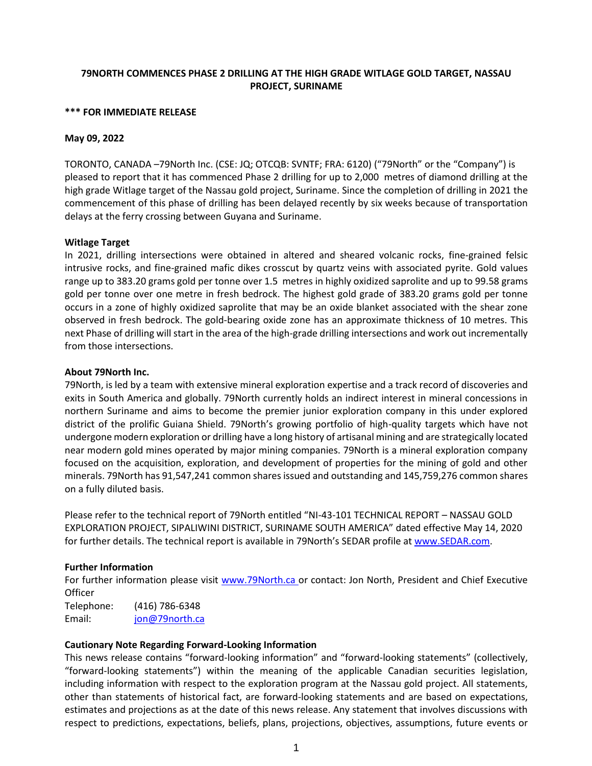# **79NORTH COMMENCES PHASE 2 DRILLING AT THE HIGH GRADE WITLAGE GOLD TARGET, NASSAU PROJECT, SURINAME**

#### **\*\*\* FOR IMMEDIATE RELEASE**

### **May 09, 2022**

TORONTO, CANADA –79North Inc. (CSE: JQ; OTCQB: SVNTF; FRA: 6120) ("79North" or the "Company") is pleased to report that it has commenced Phase 2 drilling for up to 2,000 metres of diamond drilling at the high grade Witlage target of the Nassau gold project, Suriname. Since the completion of drilling in 2021 the commencement of this phase of drilling has been delayed recently by six weeks because of transportation delays at the ferry crossing between Guyana and Suriname.

### **Witlage Target**

In 2021, drilling intersections were obtained in altered and sheared volcanic rocks, fine-grained felsic intrusive rocks, and fine-grained mafic dikes crosscut by quartz veins with associated pyrite. Gold values range up to 383.20 grams gold per tonne over 1.5 metres in highly oxidized saprolite and up to 99.58 grams gold per tonne over one metre in fresh bedrock. The highest gold grade of 383.20 grams gold per tonne occurs in a zone of highly oxidized saprolite that may be an oxide blanket associated with the shear zone observed in fresh bedrock. The gold-bearing oxide zone has an approximate thickness of 10 metres. This next Phase of drilling will start in the area of the high-grade drilling intersections and work out incrementally from those intersections.

### **About 79North Inc.**

79North, is led by a team with extensive mineral exploration expertise and a track record of discoveries and exits in South America and globally. 79North currently holds an indirect interest in mineral concessions in northern Suriname and aims to become the premier junior exploration company in this under explored district of the prolific Guiana Shield. 79North's growing portfolio of high-quality targets which have not undergone modern exploration or drilling have a long history of artisanal mining and are strategically located near modern gold mines operated by major mining companies. 79North is a mineral exploration company focused on the acquisition, exploration, and development of properties for the mining of gold and other minerals. 79North has 91,547,241 common shares issued and outstanding and 145,759,276 common shares on a fully diluted basis.

Please refer to the technical report of 79North entitled "NI-43-101 TECHNICAL REPORT – NASSAU GOLD EXPLORATION PROJECT, SIPALIWINI DISTRICT, SURINAME SOUTH AMERICA" dated effective May 14, 2020 for further details. The technical report is available in 79North's SEDAR profile at [www.SEDAR.com.](http://www.sedar.com/)

## **Further Information**

For further information please visit [www.79North.ca o](http://www.79north.ca/)r contact: Jon North, President and Chief Executive **Officer** 

Telephone: (416) 786-6348 Email: [jon@79north.ca](mailto:jon@79north.ca)

### **Cautionary Note Regarding Forward-Looking Information**

This news release contains "forward-looking information" and "forward-looking statements" (collectively, "forward-looking statements") within the meaning of the applicable Canadian securities legislation, including information with respect to the exploration program at the Nassau gold project. All statements, other than statements of historical fact, are forward-looking statements and are based on expectations, estimates and projections as at the date of this news release. Any statement that involves discussions with respect to predictions, expectations, beliefs, plans, projections, objectives, assumptions, future events or